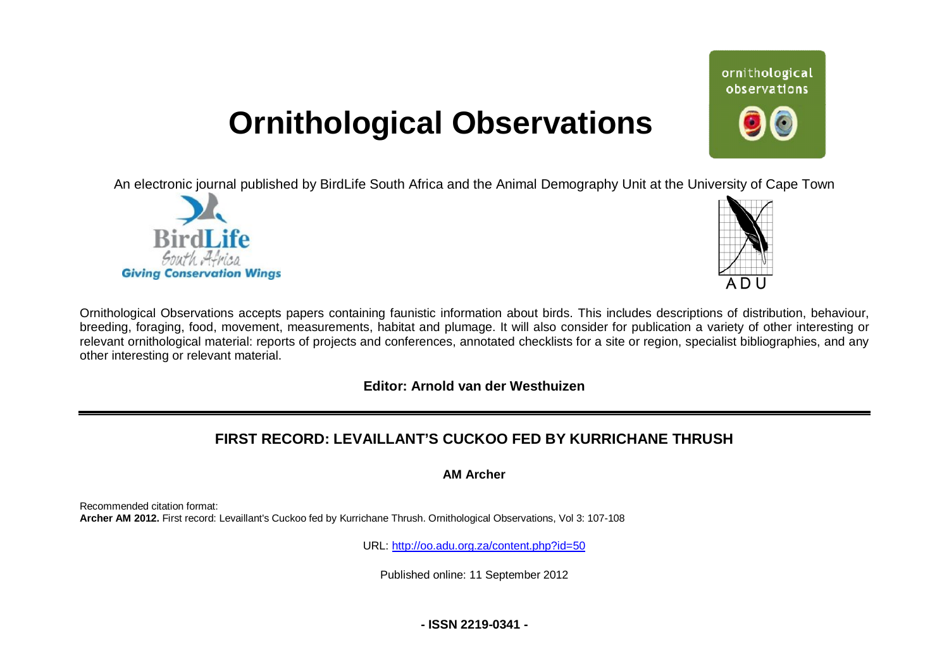# **Ornithological Observations**

An electronic journal published by BirdLife South Africa and the Animal Demography Unit at the University of Cape Town





ornithological observations

Ornithological Observations accepts papers containing faunistic information about birds. This includes descriptions of distribution, behaviour, breeding, foraging, food, movement, measurements, habitat and plumage. It will also consider for publication a variety of other interesting or relevant ornithological material: reports of projects and conferences, annotated checklists for a site or region, specialist bibliographies, and any other interesting or relevant material.

## **Editor: Arnold van der Westhuizen**

# **FIRST RECORD: LEVAILLANT'S CUCKOO FED BY KURRICHANE THRUSH**

**AM Archer** 

Recommended citation format: **Archer AM 2012.** First record: Levaillant's Cuckoo fed by Kurrichane Thrush. Ornithological Observations, Vol 3: 107-108

URL: <http://oo.adu.org.za/content.php?id=50>

Published online: 11 September 2012

**- ISSN 2219-0341 -**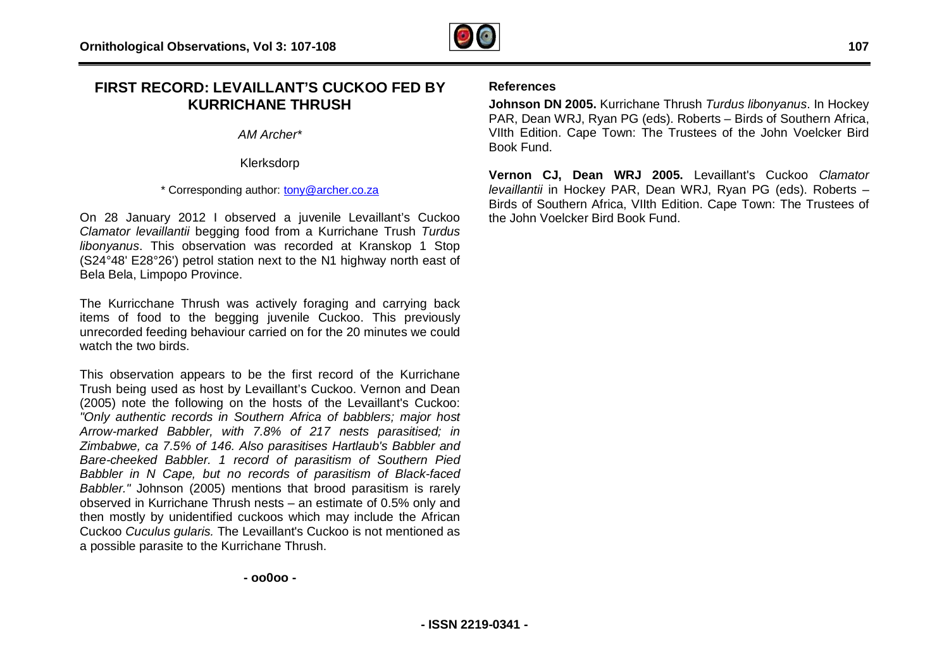

## **FIRST RECORD: LEVAILLANT'S CUCKOO FED BY KURRICHANE THRUSH**

*AM Archer\** 

Klerksdorp

\* Corresponding author: [tony@archer.co.za](mailto:tony@archer.co.za)

On 28 January 2012 I observed a juvenile Levaillant's Cuckoo *Clamator levaillantii* begging food from a Kurrichane Trush *Turdus libonyanus*. This observation was recorded at Kranskop 1 Stop (S24°48' E28°26') petrol station next to the N1 highway north east of Bela Bela, Limpopo Province.

The Kurricchane Thrush was actively foraging and carrying back items of food to the begging juvenile Cuckoo. This previously unrecorded feeding behaviour carried on for the 20 minutes we could watch the two birds.

This observation appears to be the first record of the Kurrichane Trush being used as host by Levaillant's Cuckoo. Vernon and Dean (2005) note the following on the hosts of the Levaillant's Cuckoo: *"Only authentic records in Southern Africa of babblers; major host Arrow-marked Babbler, with 7.8% of 217 nests parasitised; in Zimbabwe, ca 7.5% of 146. Also parasitises Hartlaub's Babbler and Bare-cheeked Babbler. 1 record of parasitism of Southern Pied Babbler in N Cape, but no records of parasitism of Black-faced Babbler."* Johnson (2005) mentions that brood parasitism is rarely observed in Kurrichane Thrush nests – an estimate of 0.5% only and then mostly by unidentified cuckoos which may include the African Cuckoo *Cuculus gularis.* The Levaillant's Cuckoo is not mentioned as a possible parasite to the Kurrichane Thrush.

#### **References**

**Johnson DN 2005.** Kurrichane Thrush *Turdus libonyanus*. In Hockey PAR, Dean WRJ, Ryan PG (eds). Roberts – Birds of Southern Africa, VIIth Edition. Cape Town: The Trustees of the John Voelcker Bird Book Fund.

**Vernon CJ, Dean WRJ 2005.** Levaillant's Cuckoo *Clamator levaillantii* in Hockey PAR, Dean WRJ, Ryan PG (eds). Roberts – Birds of Southern Africa, VIIth Edition. Cape Town: The Trustees of the John Voelcker Bird Book Fund.

**- oo0oo -**